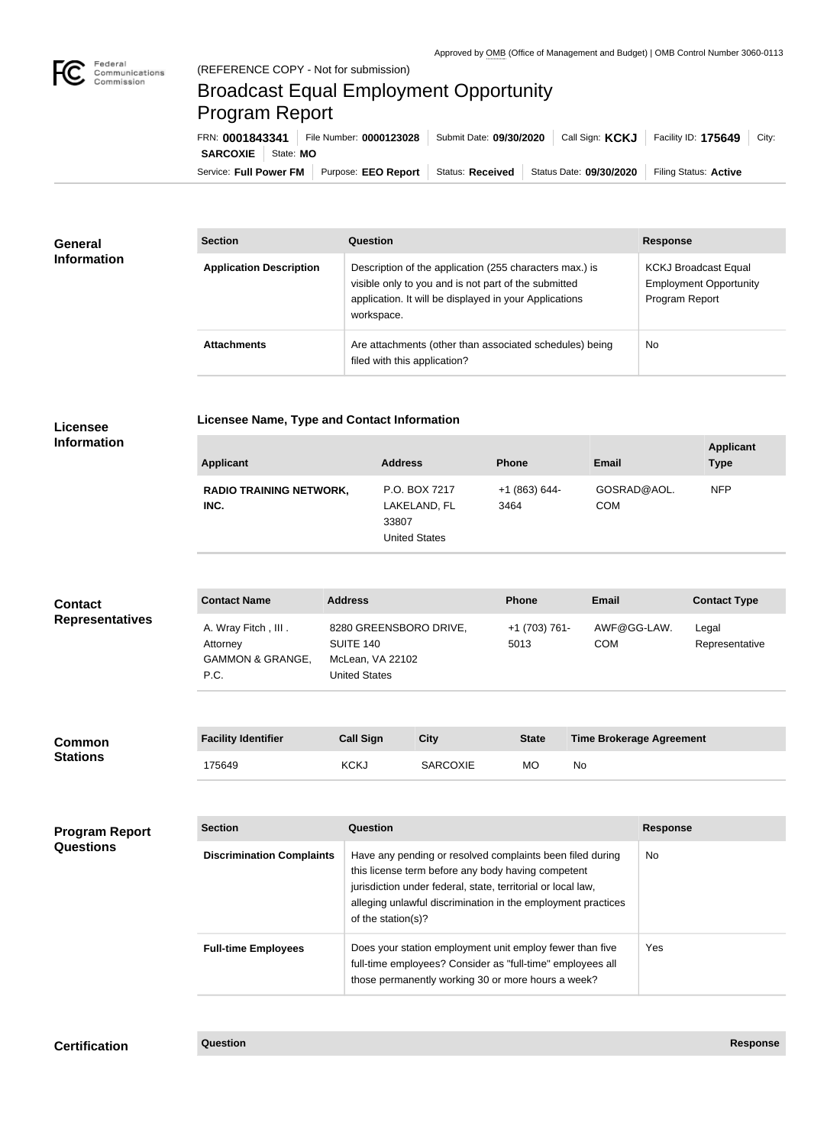

## Broadcast Equal Employment Opportunity Program Report

**Licensee Name, Type and Contact Information**

Service: Full Power FM Purpose: EEO Report | Status: Received | Status Date: 09/30/2020 | Filing Status: Active **SARCOXIE** State: **MO** FRN: **0001843341** File Number: **0000123028** Submit Date: **09/30/2020** Call Sign: **KCKJ** Facility ID: **175649** City:

| <b>General</b><br><b>Information</b> | <b>Section</b>                 | Question                                                                                                                                                                                | <b>Response</b>                                                                |
|--------------------------------------|--------------------------------|-----------------------------------------------------------------------------------------------------------------------------------------------------------------------------------------|--------------------------------------------------------------------------------|
|                                      | <b>Application Description</b> | Description of the application (255 characters max.) is<br>visible only to you and is not part of the submitted<br>application. It will be displayed in your Applications<br>workspace. | <b>KCKJ Broadcast Equal</b><br><b>Employment Opportunity</b><br>Program Report |
|                                      | <b>Attachments</b>             | Are attachments (other than associated schedules) being<br>filed with this application?                                                                                                 | <b>No</b>                                                                      |

## **Licensee Information**

| <b>Applicant</b>                       | <b>Address</b>                                                 | <b>Phone</b>          | <b>Email</b>              | <b>Applicant</b><br><b>Type</b> |
|----------------------------------------|----------------------------------------------------------------|-----------------------|---------------------------|---------------------------------|
| <b>RADIO TRAINING NETWORK,</b><br>INC. | P.O. BOX 7217<br>LAKELAND, FL<br>33807<br><b>United States</b> | $+1(863)644-$<br>3464 | GOSRAD@AOL.<br><b>COM</b> | <b>NFP</b>                      |

| <b>Contact</b>         | <b>Contact Name</b>                                                    | <b>Address</b>                                                                  | <b>Phone</b>          | <b>Email</b>              | <b>Contact Type</b>     |
|------------------------|------------------------------------------------------------------------|---------------------------------------------------------------------------------|-----------------------|---------------------------|-------------------------|
| <b>Representatives</b> | A. Wray Fitch, III.<br>Attorney<br><b>GAMMON &amp; GRANGE,</b><br>P.C. | 8280 GREENSBORO DRIVE,<br>SUITE 140<br>McLean, VA 22102<br><b>United States</b> | +1 (703) 761-<br>5013 | AWF@GG-LAW.<br><b>COM</b> | Legal<br>Representative |
|                        |                                                                        |                                                                                 |                       |                           |                         |

| <b>Common</b><br><b>Stations</b> | <b>Facility Identifier</b> | <b>Call Sign</b> | City            | <b>State</b> | <b>Time Brokerage Agreement</b> |
|----------------------------------|----------------------------|------------------|-----------------|--------------|---------------------------------|
|                                  | '75649                     | <b>KCKJ</b>      | <b>SARCOXIE</b> | МC           | No                              |

| <b>Program Report</b><br><b>Questions</b> | <b>Section</b>                   | Question                                                                                                                                                                                                                                                              | <b>Response</b> |
|-------------------------------------------|----------------------------------|-----------------------------------------------------------------------------------------------------------------------------------------------------------------------------------------------------------------------------------------------------------------------|-----------------|
|                                           | <b>Discrimination Complaints</b> | Have any pending or resolved complaints been filed during<br>this license term before any body having competent<br>jurisdiction under federal, state, territorial or local law,<br>alleging unlawful discrimination in the employment practices<br>of the station(s)? | <b>No</b>       |
|                                           | <b>Full-time Employees</b>       | Does your station employment unit employ fewer than five<br>full-time employees? Consider as "full-time" employees all<br>those permanently working 30 or more hours a week?                                                                                          | Yes             |

**Certification Question Response**